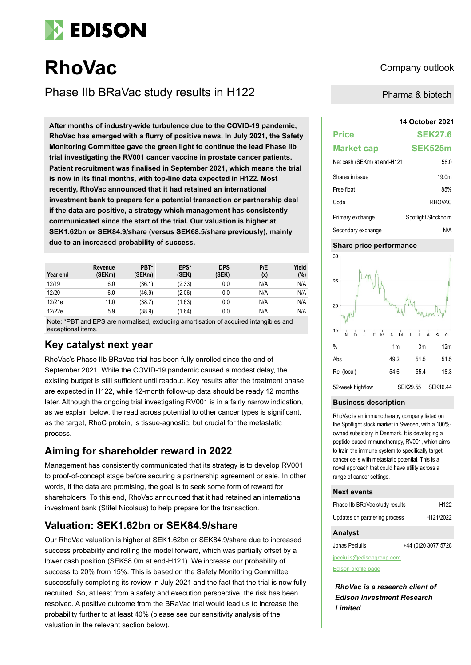

# **RhoVac** Company outlook

Phase IIb BRaVac study results in H122

**14 October 2021 After months of industry-wide turbulence due to the COVID-19 pandemic, RhoVac has emerged with a flurry of positive news. In July 2021, the Safety Monitoring Committee gave the green light to continue the lead Phase IIb trial investigating the RV001 cancer vaccine in prostate cancer patients. Patient recruitment was finalised in September 2021, which means the trial is now in its final months, with top-line data expected in H122. Most recently, RhoVac announced that it had retained an international investment bank to prepare for a potential transaction or partnership deal if the data are positive, a strategy which management has consistently communicated since the start of the trial. Our valuation is higher at SEK1.62bn or SEK84.9/share (versus SEK68.5/share previously), mainly due to an increased probability of success.**

| Year end | Revenue<br>(SEKm) | PBT*<br>(SEKm) | EPS*<br>(SEK) | <b>DPS</b><br>(SEK) | P/E<br>(x) | Yield<br>(%) |
|----------|-------------------|----------------|---------------|---------------------|------------|--------------|
| 12/19    | 6.0               | (36.1)         | (2.33)        | 0.0                 | N/A        | N/A          |
| 12/20    | 6.0               | (46.9)         | (2.06)        | 0.0                 | N/A        | N/A          |
| 12/21e   | 11.0              | (38.7)         | (1.63)        | 0.0                 | N/A        | N/A          |
| 12/22e   | 5.9               | (38.9)         | (1.64)        | 0.0                 | N/A        | N/A          |

Note: \*PBT and EPS are normalised, excluding amortisation of acquired intangibles and exceptional items.

## **Key catalyst next year**

RhoVac's Phase IIb BRaVac trial has been fully enrolled since the end of September 2021. While the COVID-19 pandemic caused a modest delay, the existing budget is still sufficient until readout. Key results after the treatment phase are expected in H122, while 12-month follow-up data should be ready 12 months later. Although the ongoing trial investigating RV001 is in a fairly narrow indication, as we explain below, the read across potential to other cancer types is significant, as the target, RhoC protein, is tissue-agnostic, but crucial for the metastatic process.

# **Aiming for shareholder reward in 2022**

Management has consistently communicated that its strategy is to develop RV001 to proof-of-concept stage before securing a partnership agreement or sale. In other words, if the data are promising, the goal is to seek some form of reward for shareholders. To this end, RhoVac announced that it had retained an international investment bank (Stifel Nicolaus) to help prepare for the transaction.

# **Valuation: SEK1.62bn or SEK84.9/share**

Our RhoVac valuation is higher at SEK1.62bn or SEK84.9/share due to increased success probability and rolling the model forward, which was partially offset by a lower cash position (SEK58.0m at end-H121). We increase our probability of success to 20% from 15%. This is based on the Safety Monitoring Committee successfully completing its review in July 2021 and the fact that the trial is now fully recruited. So, at least from a safety and execution perspective, the risk has been resolved. A positive outcome from the BRaVac trial would lead us to increase the probability further to at least 40% (please see our sensitivity analysis of the valuation in the relevant section below).

Pharma & biotech

| <b>Price</b>                | <b>SEK27.6</b>      |
|-----------------------------|---------------------|
| <b>Market cap</b>           | SEK525m             |
| Net cash (SEKm) at end-H121 | 58.0                |
| Shares in issue             | 19.0m               |
| Free float                  | 85%                 |
| Code                        | <b>RHOVAC</b>       |
| Primary exchange            | Spotlight Stockholm |
| Secondary exchange          | N/A                 |

## **Share price performance**



### **Business description**

RhoVac is an immunotherapy company listed on the Spotlight stock market in Sweden, with a 100% owned subsidiary in Denmark. It is developing a peptide-based immunotherapy, RV001, which aims to train the immune system to specifically target cancer cells with metastatic potential. This is a novel approach that could have utility across a range of cancer settings.

### **Next events**

| <b>Analyst</b>                 |                        |
|--------------------------------|------------------------|
| Updates on partnering process  | H <sub>121</sub> /2022 |
| Phase IIb BRaVac study results | H <sub>122</sub>       |

| Jonas Peciulis | +44 (0)20 3077 5728 |
|----------------|---------------------|
|                |                     |

jpeciulis@edisongroup.com

[Edison profile page](https://www.edisongroup.com/company/rhovac/2888/)

*RhoVac is a research client of Edison Investment Research Limited*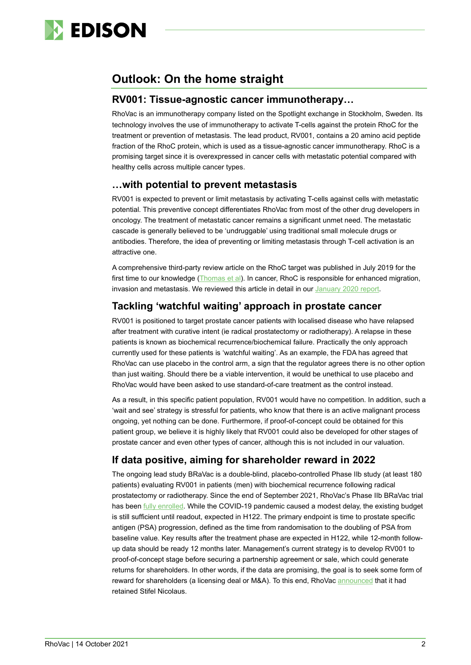

# **Outlook: On the home straight**

## **RV001: Tissue-agnostic cancer immunotherapy…**

RhoVac is an immunotherapy company listed on the Spotlight exchange in Stockholm, Sweden. Its technology involves the use of immunotherapy to activate T-cells against the protein RhoC for the treatment or prevention of metastasis. The lead product, RV001, contains a 20 amino acid peptide fraction of the RhoC protein, which is used as a tissue-agnostic cancer immunotherapy. RhoC is a promising target since it is overexpressed in cancer cells with metastatic potential compared with healthy cells across multiple cancer types.

## **…with potential to prevent metastasis**

RV001 is expected to prevent or limit metastasis by activating T-cells against cells with metastatic potential. This preventive concept differentiates RhoVac from most of the other drug developers in oncology. The treatment of metastatic cancer remains a significant unmet need. The metastatic cascade is generally believed to be 'undruggable' using traditional small molecule drugs or antibodies. Therefore, the idea of preventing or limiting metastasis through T-cell activation is an attractive one.

A comprehensive third-party review article on the RhoC target was published in July 2019 for the first time to our knowledge [\(Thomas et al\)](https://jeccr.biomedcentral.com/articles/10.1186/s13046-019-1327-4). In cancer, RhoC is responsible for enhanced migration, invasion and metastasis. We reviewed this article in detail in ou[r January 2020 report.](https://www.edisongroup.com/publication/phase-iib-bravac-study-enrolling-patients/25991/)

# **Tackling 'watchful waiting' approach in prostate cancer**

RV001 is positioned to target prostate cancer patients with localised disease who have relapsed after treatment with curative intent (ie radical prostatectomy or radiotherapy). A relapse in these patients is known as biochemical recurrence/biochemical failure. Practically the only approach currently used for these patients is 'watchful waiting'. As an example, the FDA has agreed that RhoVac can use placebo in the control arm, a sign that the regulator agrees there is no other option than just waiting. Should there be a viable intervention, it would be unethical to use placebo and RhoVac would have been asked to use standard-of-care treatment as the control instead.

As a result, in this specific patient population, RV001 would have no competition. In addition, such a 'wait and see' strategy is stressful for patients, who know that there is an active malignant process ongoing, yet nothing can be done. Furthermore, if proof-of-concept could be obtained for this patient group, we believe it is highly likely that RV001 could also be developed for other stages of prostate cancer and even other types of cancer, although this is not included in our valuation.

# **If data positive, aiming for shareholder reward in 2022**

The ongoing lead study BRaVac is a double-blind, placebo-controlled Phase IIb study (at least 180 patients) evaluating RV001 in patients (men) with biochemical recurrence following radical prostatectomy or radiotherapy. Since the end of September 2021, RhoVac's Phase IIb BRaVac trial has been [fully enrolled.](https://www.rhovac.com/cision/0450B5F784A37019/) While the COVID-19 pandemic caused a modest delay, the existing budget is still sufficient until readout, expected in H122. The primary endpoint is time to prostate specific antigen (PSA) progression, defined as the time from randomisation to the doubling of PSA from baseline value. Key results after the treatment phase are expected in H122, while 12-month followup data should be ready 12 months later. Management's current strategy is to develop RV001 to proof-of-concept stage before securing a partnership agreement or sale, which could generate returns for shareholders. In other words, if the data are promising, the goal is to seek some form of reward for shareholders (a licensing deal or M&A). To this end, RhoVac [announced](https://www.rhovac.com/cision/9D2B6AA7D399759E/) that it had retained Stifel Nicolaus.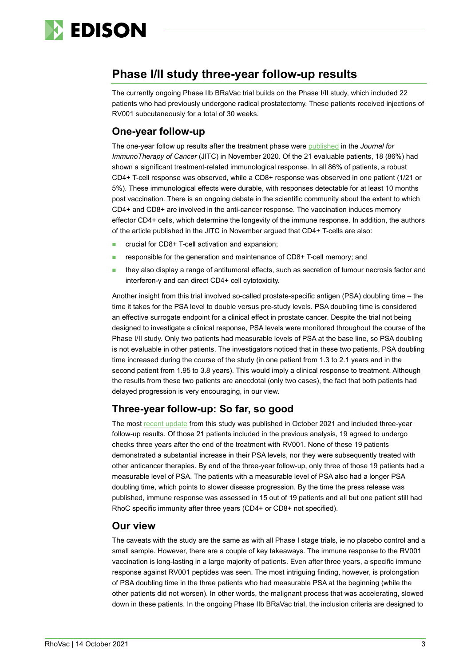

# **Phase I/II study three-year follow-up results**

The currently ongoing Phase IIb BRaVac trial builds on the Phase I/II study, which included 22 patients who had previously undergone radical prostatectomy. These patients received injections of RV001 subcutaneously for a total of 30 weeks.

# **One-year follow-up**

The one-year follow up results after the treatment phase were [published](https://jitc.bmj.com/content/8/2/e001157) in the *Journal for ImmunoTherapy of Cancer* (JITC) in November 2020. Of the 21 evaluable patients, 18 (86%) had shown a significant treatment-related immunological response. In all 86% of patients, a robust CD4+ T-cell response was observed, while a CD8+ response was observed in one patient (1/21 or 5%). These immunological effects were durable, with responses detectable for at least 10 months post vaccination. There is an ongoing debate in the scientific community about the extent to which CD4+ and CD8+ are involved in the anti-cancer response. The vaccination induces memory effector CD4+ cells, which determine the longevity of the immune response. In addition, the authors of the article published in the JITC in November argued that CD4+ T-cells are also:

- crucial for CD8+ T-cell activation and expansion;
- responsible for the generation and maintenance of CD8+ T-cell memory; and
- they also display a range of antitumoral effects, such as secretion of tumour necrosis factor and interferon-γ and can direct CD4+ cell cytotoxicity.

Another insight from this trial involved so-called prostate-specific antigen (PSA) doubling time – the time it takes for the PSA level to double versus pre-study levels. PSA doubling time is considered an effective surrogate endpoint for a clinical effect in prostate cancer. Despite the trial not being designed to investigate a clinical response, PSA levels were monitored throughout the course of the Phase I/II study. Only two patients had measurable levels of PSA at the base line, so PSA doubling is not evaluable in other patients. The investigators noticed that in these two patients, PSA doubling time increased during the course of the study (in one patient from 1.3 to 2.1 years and in the second patient from 1.95 to 3.8 years). This would imply a clinical response to treatment. Although the results from these two patients are anecdotal (only two cases), the fact that both patients had delayed progression is very encouraging, in our view.

# **Three-year follow-up: So far, so good**

The most [recent update](https://www.rhovac.com/cision/2DDE739450ABDA43/) from this study was published in October 2021 and included three-year follow-up results. Of those 21 patients included in the previous analysis, 19 agreed to undergo checks three years after the end of the treatment with RV001. None of these 19 patients demonstrated a substantial increase in their PSA levels, nor they were subsequently treated with other anticancer therapies. By end of the three-year follow-up, only three of those 19 patients had a measurable level of PSA. The patients with a measurable level of PSA also had a longer PSA doubling time, which points to slower disease progression. By the time the press release was published, immune response was assessed in 15 out of 19 patients and all but one patient still had RhoC specific immunity after three years (CD4+ or CD8+ not specified).

## **Our view**

The caveats with the study are the same as with all Phase I stage trials, ie no placebo control and a small sample. However, there are a couple of key takeaways. The immune response to the RV001 vaccination is long-lasting in a large majority of patients. Even after three years, a specific immune response against RV001 peptides was seen. The most intriguing finding, however, is prolongation of PSA doubling time in the three patients who had measurable PSA at the beginning (while the other patients did not worsen). In other words, the malignant process that was accelerating, slowed down in these patients. In the ongoing Phase IIb BRaVac trial, the inclusion criteria are designed to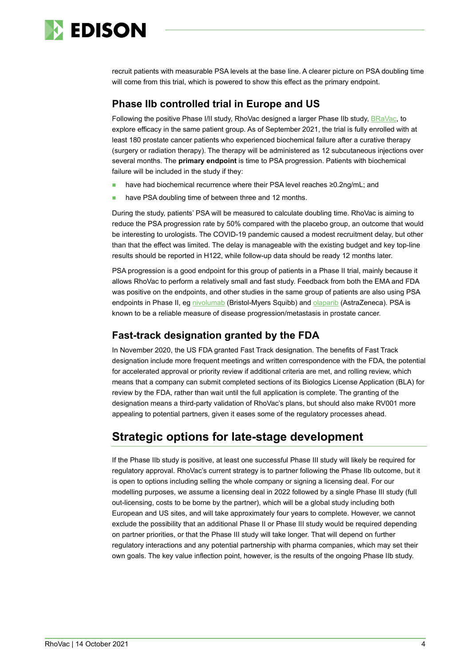

recruit patients with measurable PSA levels at the base line. A clearer picture on PSA doubling time will come from this trial, which is powered to show this effect as the primary endpoint.

# **Phase IIb controlled trial in Europe and US**

Following the positive Phase I/II study, RhoVac designed a larger Phase IIb study, [BRaVac,](https://clinicaltrials.gov/ct2/show/NCT04114825?term=rv001&draw=2&rank=2) to explore efficacy in the same patient group. As of September 2021, the trial is fully enrolled with at least 180 prostate cancer patients who experienced biochemical failure after a curative therapy (surgery or radiation therapy). The therapy will be administered as 12 subcutaneous injections over several months. The **primary endpoint** is time to PSA progression. Patients with biochemical failure will be included in the study if they:

- have had biochemical recurrence where their PSA level reaches ≥0.2ng/mL; and
- have PSA doubling time of between three and 12 months.

During the study, patients' PSA will be measured to calculate doubling time. RhoVac is aiming to reduce the PSA progression rate by 50% compared with the placebo group, an outcome that would be interesting to urologists. The COVID-19 pandemic caused a modest recruitment delay, but other than that the effect was limited. The delay is manageable with the existing budget and key top-line results should be reported in H122, while follow-up data should be ready 12 months later.

PSA progression is a good endpoint for this group of patients in a Phase II trial, mainly because it allows RhoVac to perform a relatively small and fast study. Feedback from both the EMA and FDA was positive on the endpoints, and other studies in the same group of patients are also using PSA endpoints in Phase II, eg [nivolumab](https://clinicaltrials.gov/ct2/show/NCT03637543?cond=Biochemically+Recurrent+Prostate+Cancer&fund=2&rank=1) (Bristol-Myers Squibb) and **olaparib** (AstraZeneca). PSA is known to be a reliable measure of disease progression/metastasis in prostate cancer.

# **Fast-track designation granted by the FDA**

In November 2020, the US FDA granted Fast Track designation. The benefits of Fast Track designation include more frequent meetings and written correspondence with the FDA, the potential for accelerated approval or priority review if additional criteria are met, and rolling review, which means that a company can submit completed sections of its Biologics License Application (BLA) for review by the FDA, rather than wait until the full application is complete. The granting of the designation means a third-party validation of RhoVac's plans, but should also make RV001 more appealing to potential partners, given it eases some of the regulatory processes ahead.

# **Strategic options for late-stage development**

If the Phase IIb study is positive, at least one successful Phase III study will likely be required for regulatory approval. RhoVac's current strategy is to partner following the Phase IIb outcome, but it is open to options including selling the whole company or signing a licensing deal. For our modelling purposes, we assume a licensing deal in 2022 followed by a single Phase III study (full out-licensing, costs to be borne by the partner), which will be a global study including both European and US sites, and will take approximately four years to complete. However, we cannot exclude the possibility that an additional Phase II or Phase III study would be required depending on partner priorities, or that the Phase III study will take longer. That will depend on further regulatory interactions and any potential partnership with pharma companies, which may set their own goals. The key value inflection point, however, is the results of the ongoing Phase IIb study.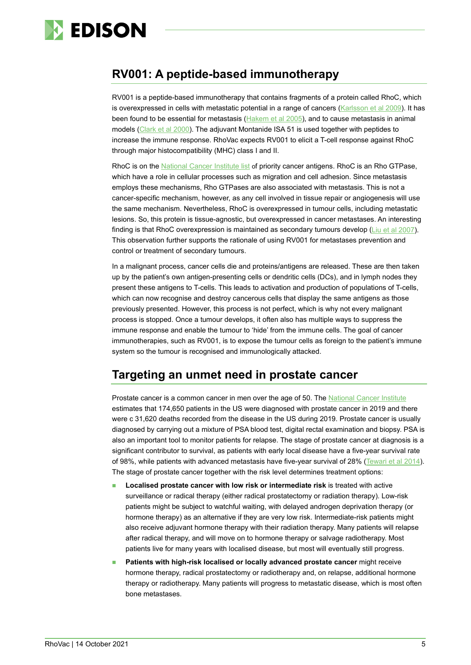

# **RV001: A peptide-based immunotherapy**

RV001 is a peptide-based immunotherapy that contains fragments of a protein called RhoC, which is overexpressed in cells with metastatic potential in a range of cancers [\(Karlsson et al 2009\)](https://www.sciencedirect.com/science/article/abs/pii/S0304419X09000110). It has been found to be essential for metastasis [\(Hakem et al 2005\)](https://www.ncbi.nlm.nih.gov/pmc/articles/pmid/16107613/), and to cause metastasis in animal models [\(Clark et al 2000\)](https://www.nature.com/articles/35020106). The adjuvant Montanide ISA 51 is used together with peptides to increase the immune response. RhoVac expects RV001 to elicit a T-cell response against RhoC through major histocompatibility (MHC) class I and II.

RhoC is on the [National Cancer Institute list](https://www.ncbi.nlm.nih.gov/pmc/articles/PMC5779623/pdf/nihms127357.pdf) of priority cancer antigens. RhoC is an Rho GTPase, which have a role in cellular processes such as migration and cell adhesion. Since metastasis employs these mechanisms, Rho GTPases are also associated with metastasis. This is not a cancer-specific mechanism, however, as any cell involved in tissue repair or angiogenesis will use the same mechanism. Nevertheless, RhoC is overexpressed in tumour cells, including metastatic lesions. So, this protein is tissue-agnostic, but overexpressed in cancer metastases. An interesting finding is that RhoC overexpression is maintained as secondary tumours develop ([Liu et al 2007](https://link.springer.com/article/10.1007%2Fs00109-007-0217-y)). This observation further supports the rationale of using RV001 for metastases prevention and control or treatment of secondary tumours.

In a malignant process, cancer cells die and proteins/antigens are released. These are then taken up by the patient's own antigen-presenting cells or dendritic cells (DCs), and in lymph nodes they present these antigens to T-cells. This leads to activation and production of populations of T-cells, which can now recognise and destroy cancerous cells that display the same antigens as those previously presented. However, this process is not perfect, which is why not every malignant process is stopped. Once a tumour develops, it often also has multiple ways to suppress the immune response and enable the tumour to 'hide' from the immune cells. The goal of cancer immunotherapies, such as RV001, is to expose the tumour cells as foreign to the patient's immune system so the tumour is recognised and immunologically attacked.

# **Targeting an unmet need in prostate cancer**

Prostate cancer is a common cancer in men over the age of 50. The [National Cancer Institute](https://seer.cancer.gov/statfacts/html/prost.html) estimates that 174,650 patients in the US were diagnosed with prostate cancer in 2019 and there were c 31,620 deaths recorded from the disease in the US during 2019. Prostate cancer is usually diagnosed by carrying out a mixture of PSA blood test, digital rectal examination and biopsy. PSA is also an important tool to monitor patients for relapse. The stage of prostate cancer at diagnosis is a significant contributor to survival, as patients with early local disease have a five-year survival rate of 98%, while patients with advanced metastasis have five-year survival of 28% [\(Tewari et al 2014\)](https://onlinelibrary.wiley.com/doi/pdf/10.1002/9781118347379.ch1). The stage of prostate cancer together with the risk level determines treatment options:

- **Localised prostate cancer with low risk or intermediate risk** is treated with active surveillance or radical therapy (either radical prostatectomy or radiation therapy). Low-risk patients might be subject to watchful waiting, with delayed androgen deprivation therapy (or hormone therapy) as an alternative if they are very low risk. Intermediate-risk patients might also receive adjuvant hormone therapy with their radiation therapy. Many patients will relapse after radical therapy, and will move on to hormone therapy or salvage radiotherapy. Most patients live for many years with localised disease, but most will eventually still progress.
- **Patients with high-risk localised or locally advanced prostate cancer** might receive hormone therapy, radical prostatectomy or radiotherapy and, on relapse, additional hormone therapy or radiotherapy. Many patients will progress to metastatic disease, which is most often bone metastases.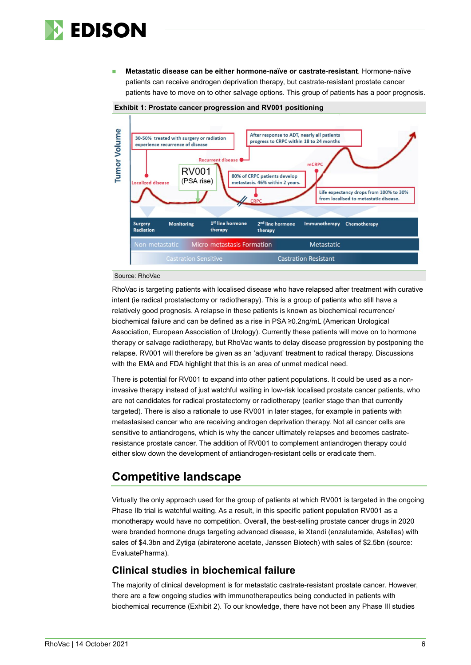

 **Metastatic disease can be either hormone-naïve or castrate-resistant**. Hormone-naïve patients can receive androgen deprivation therapy, but castrate-resistant prostate cancer patients have to move on to other salvage options. This group of patients has a poor prognosis.



#### **Exhibit 1: Prostate cancer progression and RV001 positioning**

## Source: RhoVac

RhoVac is targeting patients with localised disease who have relapsed after treatment with curative intent (ie radical prostatectomy or radiotherapy). This is a group of patients who still have a relatively good prognosis. A relapse in these patients is known as biochemical recurrence/ biochemical failure and can be defined as a rise in PSA ≥0.2ng/mL (American Urological Association, European Association of Urology). Currently these patients will move on to hormone therapy or salvage radiotherapy, but RhoVac wants to delay disease progression by postponing the relapse. RV001 will therefore be given as an 'adjuvant' treatment to radical therapy. Discussions with the EMA and FDA highlight that this is an area of unmet medical need.

There is potential for RV001 to expand into other patient populations. It could be used as a noninvasive therapy instead of just watchful waiting in low-risk localised prostate cancer patients, who are not candidates for radical prostatectomy or radiotherapy (earlier stage than that currently targeted). There is also a rationale to use RV001 in later stages, for example in patients with metastasised cancer who are receiving androgen deprivation therapy. Not all cancer cells are sensitive to antiandrogens, which is why the cancer ultimately relapses and becomes castrateresistance prostate cancer. The addition of RV001 to complement antiandrogen therapy could either slow down the development of antiandrogen-resistant cells or eradicate them.

# **Competitive landscape**

Virtually the only approach used for the group of patients at which RV001 is targeted in the ongoing Phase IIb trial is watchful waiting. As a result, in this specific patient population RV001 as a monotherapy would have no competition. Overall, the best-selling prostate cancer drugs in 2020 were branded hormone drugs targeting advanced disease, ie Xtandi (enzalutamide, Astellas) with sales of \$4.3bn and Zytiga (abiraterone acetate, Janssen Biotech) with sales of \$2.5bn (source: EvaluatePharma).

## **Clinical studies in biochemical failure**

The majority of clinical development is for metastatic castrate-resistant prostate cancer. However, there are a few ongoing studies with immunotherapeutics being conducted in patients with biochemical recurrence (Exhibit 2). To our knowledge, there have not been any Phase III studies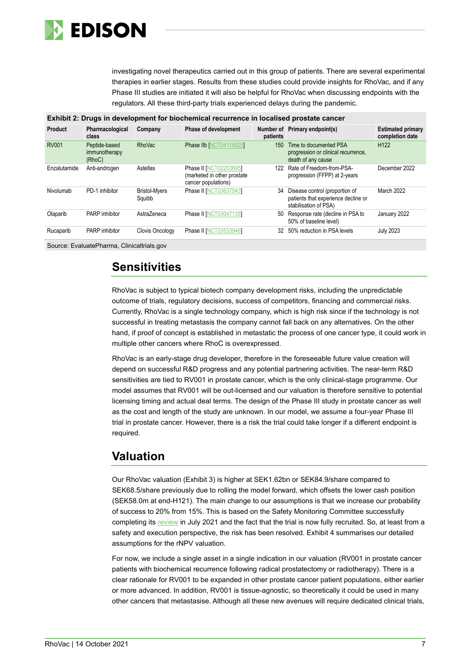

investigating novel therapeutics carried out in this group of patients. There are several experimental therapies in earlier stages. Results from these studies could provide insights for RhoVac, and if any Phase III studies are initiated it will also be helpful for RhoVac when discussing endpoints with the regulators. All these third-party trials experienced delays during the pandemic.

|                |                                          |                                | Exhibit 2: Drugs in development for biochemical recurrence in localised prostate cancer |          |                                                                                                |                                             |
|----------------|------------------------------------------|--------------------------------|-----------------------------------------------------------------------------------------|----------|------------------------------------------------------------------------------------------------|---------------------------------------------|
| <b>Product</b> | Pharmacological<br>class                 | Company                        | <b>Phase of development</b>                                                             | patients | Number of Primary endpoint(s)                                                                  | <b>Estimated primary</b><br>completion date |
| <b>RV001</b>   | Peptide-based<br>immunotherapy<br>(RhoC) | <b>RhoVac</b>                  | <b>Phase IIb [NCT04114825]</b>                                                          | 150      | Time to documented PSA<br>progression or clinical recurrence.<br>death of any cause            | H <sub>122</sub>                            |
| Enzalutamide   | Anti-androgen                            | Astellas                       | <b>Phase II [NCT02203695]</b><br>(marketed in other prostate<br>cancer populations)     | 122      | Rate of Freedom-from-PSA-<br>progression (FFPP) at 2-years                                     | December 2022                               |
| Nivolumab      | PD-1 inhibitor                           | <b>Bristol-Myers</b><br>Squibb | <b>Phase II [NCT03637543]</b>                                                           | 34       | Disease control (proportion of<br>patients that experience decline or<br>stabilisation of PSA) | March 2022                                  |
| Olaparib       | PARP inhibitor                           | AstraZeneca                    | <b>Phase II [NCT03047135]</b>                                                           | 50       | Response rate (decline in PSA to<br>50% of baseline level)                                     | January 2022                                |
| Rucaparib      | PARP inhibitor                           | Clovis Oncology                | <b>Phase II [NCT03533946]</b>                                                           | 32       | 50% reduction in PSA levels                                                                    | <b>July 2023</b>                            |
|                |                                          |                                |                                                                                         |          |                                                                                                |                                             |

Source: EvaluatePharma, Clinicaltrials.gov

# **Sensitivities**

RhoVac is subject to typical biotech company development risks, including the unpredictable outcome of trials, regulatory decisions, success of competitors, financing and commercial risks. Currently, RhoVac is a single technology company, which is high risk since if the technology is not successful in treating metastasis the company cannot fall back on any alternatives. On the other hand, if proof of concept is established in metastatic the process of one cancer type, it could work in multiple other cancers where RhoC is overexpressed.

RhoVac is an early-stage drug developer, therefore in the foreseeable future value creation will depend on successful R&D progress and any potential partnering activities. The near-term R&D sensitivities are tied to RV001 in prostate cancer, which is the only clinical-stage programme. Our model assumes that RV001 will be out-licensed and our valuation is therefore sensitive to potential licensing timing and actual deal terms. The design of the Phase III study in prostate cancer as well as the cost and length of the study are unknown. In our model, we assume a four-year Phase III trial in prostate cancer. However, there is a risk the trial could take longer if a different endpoint is required.

# **Valuation**

Our RhoVac valuation (Exhibit 3) is higher at SEK1.62bn or SEK84.9/share compared to SEK68.5/share previously due to rolling the model forward, which offsets the lower cash position (SEK58.0m at end-H121). The main change to our assumptions is that we increase our probability of success to 20% from 15%. This is based on the Safety Monitoring Committee successfully completing its [review](https://www.rhovac.com/cision/017789117A08544C/) in July 2021 and the fact that the trial is now fully recruited. So, at least from a safety and execution perspective, the risk has been resolved. Exhibit 4 summarises our detailed assumptions for the rNPV valuation.

For now, we include a single asset in a single indication in our valuation (RV001 in prostate cancer patients with biochemical recurrence following radical prostatectomy or radiotherapy). There is a clear rationale for RV001 to be expanded in other prostate cancer patient populations, either earlier or more advanced. In addition, RV001 is tissue-agnostic, so theoretically it could be used in many other cancers that metastasise. Although all these new avenues will require dedicated clinical trials,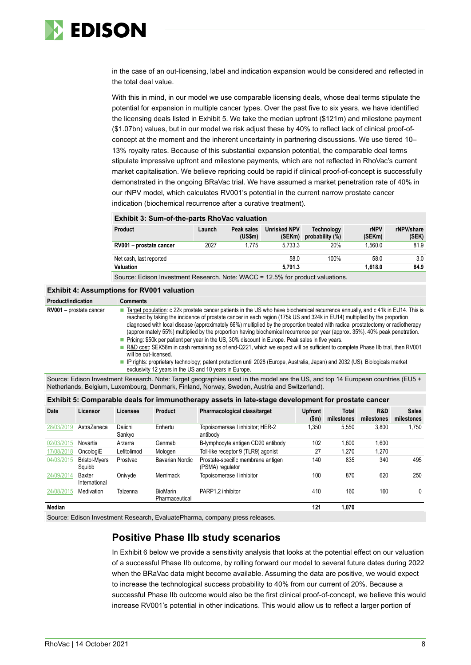

in the case of an out-licensing, label and indication expansion would be considered and reflected in the total deal value.

With this in mind, in our model we use comparable licensing deals, whose deal terms stipulate the potential for expansion in multiple cancer types. Over the past five to six years, we have identified the licensing deals listed in Exhibit 5. We take the median upfront (\$121m) and milestone payment (\$1.07bn) values, but in our model we risk adjust these by 40% to reflect lack of clinical proof-ofconcept at the moment and the inherent uncertainty in partnering discussions. We use tiered 10– 13% royalty rates. Because of this substantial expansion potential, the comparable deal terms stipulate impressive upfront and milestone payments, which are not reflected in RhoVac's current market capitalisation. We believe repricing could be rapid if clinical proof-of-concept is successfully demonstrated in the ongoing BRaVac trial. We have assumed a market penetration rate of 40% in our rNPV model, which calculates RV001's potential in the current narrow prostate cancer indication (biochemical recurrence after a curative treatment).

#### **Exhibit 3: Sum-of-the-parts RhoVac valuation**

| <b>Product</b>          | Launch | Peak sales<br>(USSm) | Unrisked NPV<br>(SEKm) | <b>Technology</b><br>probability $(\%)$ | rNPV<br>(SEKm) | rNPV/share<br>(SEK) |
|-------------------------|--------|----------------------|------------------------|-----------------------------------------|----------------|---------------------|
| RV001 - prostate cancer | 2027   | 1.775                | 5.733.3                | 20%                                     | 1.560.0        | 81.9                |
| Net cash, last reported |        |                      | 58.0                   | 100%                                    | 58.0           | 3.0                 |
| <b>Valuation</b>        |        |                      | 5.791.3                |                                         | 1.618.0        | 84.9                |
|                         |        |                      |                        |                                         |                |                     |

Source: Edison Investment Research. Note: WACC = 12.5% for product valuations.

## **Exhibit 4: Assumptions for RV001 valuation**

| Product/indication      | <b>Comments</b>                                                                                                                                                                                                                                                                                                                                                                                                                                                                                                                                                                                                                                                                                                                                                                                                                                                                                                                                                                             |
|-------------------------|---------------------------------------------------------------------------------------------------------------------------------------------------------------------------------------------------------------------------------------------------------------------------------------------------------------------------------------------------------------------------------------------------------------------------------------------------------------------------------------------------------------------------------------------------------------------------------------------------------------------------------------------------------------------------------------------------------------------------------------------------------------------------------------------------------------------------------------------------------------------------------------------------------------------------------------------------------------------------------------------|
| RV001 - prostate cancer | Target population: c 22k prostate cancer patients in the US who have biochemical recurrence annually, and c 41k in EU14. This is<br>reached by taking the incidence of prostate cancer in each region (175k US and 324k in EU14) multiplied by the proportion<br>diagnosed with local disease (approximately 66%) multiplied by the proportion treated with radical prostatectomy or radiotherapy<br>(approximately 55%) multiplied by the proportion having biochemical recurrence per year (approx. 35%). 40% peak penetration.<br>Pricing: \$50k per patient per year in the US, 30% discount in Europe. Peak sales in five years.<br>R&D cost: SEK58m in cash remaining as of end-Q221, which we expect will be sufficient to complete Phase IIb trial, then RV001<br>will be out-licensed.<br>• IP rights: proprietary technology; patent protection until 2028 (Europe, Australia, Japan) and 2032 (US). Biologicals market<br>exclusivity 12 years in the US and 10 years in Europe. |
|                         | Source: Edison Investment Research. Note: Target geographies used in the model are the US, and top 14 European countries (EU5 +                                                                                                                                                                                                                                                                                                                                                                                                                                                                                                                                                                                                                                                                                                                                                                                                                                                             |

Source: Edison Investment Research. Note: Target geographies used in the model are the US, and top 14 European countries (EU5 + Netherlands, Belgium, Luxembourg, Denmark, Finland, Norway, Sweden, Austria and Switzerland).

| Exhibit 5: Comparable deals for immunotherapy assets in late-stage development for prostate cancer |                                |                   |                                   |                                                        |                         |                            |                   |                            |
|----------------------------------------------------------------------------------------------------|--------------------------------|-------------------|-----------------------------------|--------------------------------------------------------|-------------------------|----------------------------|-------------------|----------------------------|
| <b>Date</b>                                                                                        | Licensor                       | Licensee          | Product                           | Pharmacological class/target                           | <b>Upfront</b><br>(\$m) | <b>Total</b><br>milestones | R&D<br>milestones | <b>Sales</b><br>milestones |
| 28/03/2019                                                                                         | AstraZeneca                    | Daiichi<br>Sankyo | Enhertu                           | Topoisomerase I inhibitor; HER-2<br>antibody           | 1.350                   | 5,550                      | 3.800             | 1,750                      |
| 02/03/2015                                                                                         | Novartis                       | Arzerra           | Genmab                            | B-lymphocyte antigen CD20 antibody                     | 102                     | 1,600                      | 1.600             |                            |
| 17/08/2018                                                                                         | OncologiE                      | Lefitolimod       | Mologen                           | Toll-like receptor 9 (TLR9) agonist                    | 27                      | 1,270                      | 1,270             |                            |
| 04/03/2015                                                                                         | <b>Bristol-Mvers</b><br>Squibb | Prostvac          | Bavarian Nordic                   | Prostate-specific membrane antigen<br>(PSMA) regulator | 140                     | 835                        | 340               | 495                        |
| 24/09/2014                                                                                         | Baxter<br>International        | Onivyde           | Merrimack                         | Topoisomerase I inhibitor                              | 100                     | 870                        | 620               | 250                        |
| 24/08/2015                                                                                         | Medivation                     | Talzenna          | <b>BioMarin</b><br>Pharmaceutical | PARP1.2 inhibitor                                      | 410                     | 160                        | 160               | $\mathbf{0}$               |
| <b>Median</b>                                                                                      |                                |                   |                                   |                                                        | 121                     | 1,070                      |                   |                            |

Source: Edison Investment Research, EvaluatePharma, company press releases.

## **Positive Phase IIb study scenarios**

In Exhibit 6 below we provide a sensitivity analysis that looks at the potential effect on our valuation of a successful Phase IIb outcome, by rolling forward our model to several future dates during 2022 when the BRaVac data might become available. Assuming the data are positive, we would expect to increase the technological success probability to 40% from our current of 20%. Because a successful Phase IIb outcome would also be the first clinical proof-of-concept, we believe this would increase RV001's potential in other indications. This would allow us to reflect a larger portion of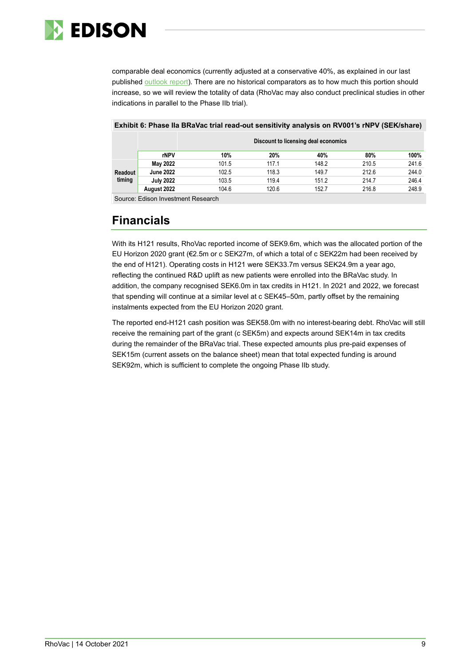

comparable deal economics (currently adjusted at a conservative 40%, as explained in our last published [outlook report\)](https://www.edisongroup.com/publication/good-execution-in-challenging-times-for-industry/27907/). There are no historical comparators as to how much this portion should increase, so we will review the totality of data (RhoVac may also conduct preclinical studies in other indications in parallel to the Phase IIb trial).

|         |                  | Discount to licensing deal economics |       |       |       |       |  |  |  |  |
|---------|------------------|--------------------------------------|-------|-------|-------|-------|--|--|--|--|
|         | rNPV             | 10%                                  | 20%   | 40%   | 80%   | 100%  |  |  |  |  |
|         | May 2022         | 101.5                                | 117.1 | 148.2 | 210.5 | 241.6 |  |  |  |  |
| Readout | <b>June 2022</b> | 102.5                                | 118.3 | 149.7 | 212.6 | 244.0 |  |  |  |  |
| timing  | <b>July 2022</b> | 103.5                                | 119.4 | 151.2 | 214.7 | 246.4 |  |  |  |  |
|         | August 2022      | 104.6                                | 120.6 | 152.7 | 216.8 | 248.9 |  |  |  |  |

### **Exhibit 6: Phase IIa BRaVac trial read-out sensitivity analysis on RV001's rNPV (SEK/share)**

Source: Edison Investment Research

# **Financials**

With its H121 results, RhoVac reported income of SEK9.6m, which was the allocated portion of the EU Horizon 2020 grant (€2.5m or c SEK27m, of which a total of c SEK22m had been received by the end of H121). Operating costs in H121 were SEK33.7m versus SEK24.9m a year ago, reflecting the continued R&D uplift as new patients were enrolled into the BRaVac study. In addition, the company recognised SEK6.0m in tax credits in H121. In 2021 and 2022, we forecast that spending will continue at a similar level at c SEK45–50m, partly offset by the remaining instalments expected from the EU Horizon 2020 grant.

The reported end-H121 cash position was SEK58.0m with no interest-bearing debt. RhoVac will still receive the remaining part of the grant (c SEK5m) and expects around SEK14m in tax credits during the remainder of the BRaVac trial. These expected amounts plus pre-paid expenses of SEK15m (current assets on the balance sheet) mean that total expected funding is around SEK92m, which is sufficient to complete the ongoing Phase IIb study.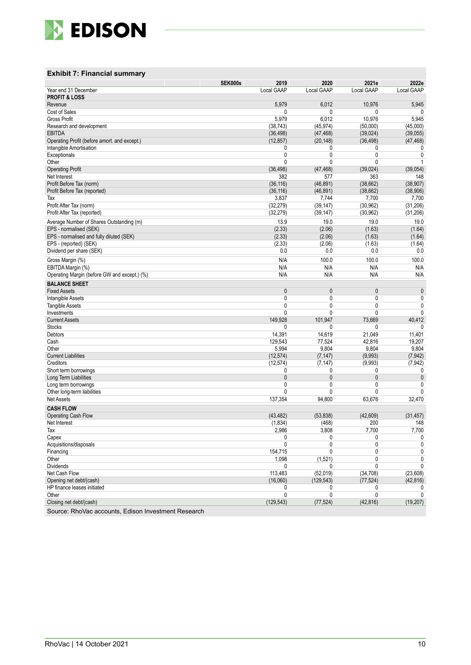

## **Exhibit 7: Financial summary**

|                                              | <b>SEK000s</b> | 2019         | 2020         | 2021e      | 2022e      |
|----------------------------------------------|----------------|--------------|--------------|------------|------------|
| Year end 31 December                         |                | Local GAAP   | Local GAAP   | Local GAAP | Local GAAP |
| <b>PROFIT &amp; LOSS</b>                     |                |              |              |            |            |
| Revenue                                      |                | 5,979        | 6,012        | 10,976     | 5,945      |
| Cost of Sales                                |                | 0            | 0            | 0          |            |
| <b>Gross Profit</b>                          |                | 5,979        | 6,012        | 10,976     | 5,945      |
| Research and development                     |                | (38, 743)    | (45, 974)    | (50,000)   | (45,000)   |
| <b>EBITDA</b>                                |                | (36, 498)    | (47, 468)    | (39, 024)  | (39,055)   |
| Operating Profit (before amort. and except.) |                | (12, 857)    | (20, 148)    | (36, 498)  | (47, 468)  |
| Intangible Amortisation                      |                | 0            | 0            | 0          | 0          |
| Exceptionals                                 |                | 0            | 0            | 0          | 0          |
| Other                                        |                | 0            | 0            | 0          | 1          |
| <b>Operating Profit</b>                      |                | (36, 498)    | (47, 468)    | (39,024)   | (39,054)   |
| Net Interest                                 |                | 382          | 577          | 363        | 148        |
| Profit Before Tax (norm)                     |                | (36, 116)    | (46, 891)    | (38, 662)  | (38, 907)  |
| Profit Before Tax (reported)                 |                | (36, 116)    | (46, 891)    | (38, 662)  | (38,906)   |
| Tax                                          |                | 3,837        | 7,744        | 7,700      | 7,700      |
| Profit After Tax (norm)                      |                | (32, 279)    | (39, 147)    | (30, 962)  | (31, 206)  |
| Profit After Tax (reported)                  |                | (32, 279)    | (39, 147)    | (30, 962)  | (31, 206)  |
| Average Number of Shares Outstanding (m)     |                | 13.9         | 19.0         | 19.0       | 19.0       |
| EPS - normalised (SEK)                       |                | (2.33)       | (2.06)       | (1.63)     | (1.64)     |
| EPS - normalised and fully diluted (SEK)     |                | (2.33)       | (2.06)       | (1.63)     | (1.64)     |
| EPS - (reported) (SEK)                       |                | (2.33)       | (2.06)       | (1.63)     | (1.64)     |
| Dividend per share (SEK)                     |                | 0.0          | 0.0          | 0.0        | 0.0        |
|                                              |                |              |              |            |            |
| Gross Margin (%)                             |                | N/A          | 100.0        | 100.0      | 100.0      |
| EBITDA Margin (%)                            |                | N/A          | N/A          | N/A        | N/A        |
| Operating Margin (before GW and except.) (%) |                | N/A          | N/A          | N/A        | N/A        |
| <b>BALANCE SHEET</b>                         |                |              |              |            |            |
| <b>Fixed Assets</b>                          |                | 0            | 0            | 0          | 0          |
| Intangible Assets                            |                | 0            | 0            | 0          | 0          |
| <b>Tangible Assets</b>                       |                | 0            | 0            | 0          | 0          |
| Investments                                  |                | $\mathbf{0}$ | 0            | 0          | 0          |
| <b>Current Assets</b>                        |                | 149,928      | 101,947      | 73,669     | 40,412     |
| <b>Stocks</b>                                |                | 0            | 0            | 0          | 0          |
| Debtors                                      |                | 14,391       | 14,619       | 21,049     | 11,401     |
| Cash                                         |                | 129,543      | 77,524       | 42,816     | 19,207     |
| Other                                        |                | 5,994        | 9,804        | 9,804      | 9,804      |
| <b>Current Liabilities</b>                   |                | (12, 574)    | (7, 147)     | (9,993)    | (7, 942)   |
| Creditors                                    |                | (12, 574)    | (7, 147)     | (9,993)    | (7, 942)   |
| Short term borrowings                        |                | 0            | 0            | 0          | 0          |
| Long Term Liabilities                        |                | 0            | $\mathbf{0}$ | 0          | 0          |
| Long term borrowings                         |                | 0            | 0            | 0          | 0          |
| Other long-term liabilities                  |                | 0            | $\mathbf{0}$ | 0          | 0          |
| <b>Net Assets</b>                            |                | 137,354      | 94,800       | 63,676     | 32,470     |
| <b>CASH FLOW</b>                             |                |              |              |            |            |
| Operating Cash Flow                          |                | (43, 482)    | (53, 838)    | (42, 609)  | (31, 457)  |
| Net Interest                                 |                | (1, 834)     | (468)        | 200        | 148        |
| Tax                                          |                | 2.986        | 3.808        | 7.700      | 7.700      |
| Capex                                        |                | 0            | 0            | 0          | 0          |
| Acquisitions/disposals                       |                | $\pmb{0}$    | 0            | 0          | 0          |
| Financing                                    |                | 154,715      | 0            | 0          | 0          |
| Other                                        |                | 1,098        | (1,521)      | 0          | 0          |
| Dividends                                    |                | 0            | 0            | 0          | 0          |
| Net Cash Flow                                |                | 113,483      | (52, 019)    | (34, 708)  | (23,608)   |
| Opening net debt/(cash)                      |                | (16,060)     | (129, 543)   | (77, 524)  | (42, 816)  |
| HP finance leases initiated                  |                | 0            | 0            | 0          | 0          |
| Other                                        |                | $\mathbf 0$  | 0            | 0          | 0          |
| Closing net debt/(cash)                      |                | (129, 543)   | (77, 524)    | (42, 816)  | (19, 207)  |
|                                              |                |              |              |            |            |

Source: RhoVac accounts, Edison Investment Research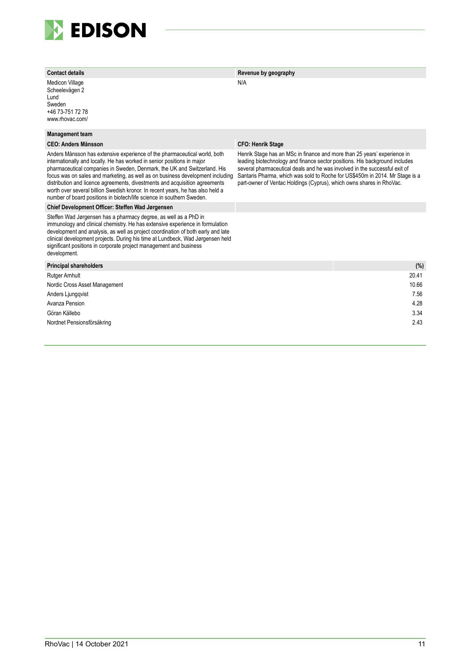

Medicon Village Scheelevägen 2 Lund Sweden +46 73-751 72 78 www.rhovac.com/

#### **Management team**

#### **CEO: Anders Månsson CFO: Henrik Stage**

Anders Månsson has extensive experience of the pharmaceutical world, both internationally and locally. He has worked in senior positions in major pharmaceutical companies in Sweden, Denmark, the UK and Switzerland. His focus was on sales and marketing, as well as on business development including distribution and licence agreements, divestments and acquisition agreements worth over several billion Swedish kronor. In recent years, he has also held a number of board positions in biotech/life science in southern Sweden.

### **Chief Development Officer: Steffen Wad Jørgensen**

Steffen Wad Jørgensen has a pharmacy degree, as well as a PhD in immunology and clinical chemistry. He has extensive experience in formulation development and analysis, as well as project coordination of both early and late clinical development projects. During his time at Lundbeck, Wad Jørgensen held significant positions in corporate project management and business development.

#### **Contact details Revenue by geography**

#### N/A

Henrik Stage has an MSc in finance and more than 25 years' experience in leading biotechnology and finance sector positions. His background includes several pharmaceutical deals and he was involved in the successful exit of Santaris Pharma, which was sold to Roche for US\$450m in 2014. Mr Stage is a part-owner of Ventac Holdings (Cyprus), which owns shares in RhoVac.

| Principal shareholders        | (%)   |
|-------------------------------|-------|
| Rutger Arnhult                | 20.41 |
| Nordic Cross Asset Management | 10.66 |
| Anders Ljungqvist             | 7.56  |
| Avanza Pension                | 4.28  |
| Göran Källebo                 | 3.34  |
| Nordnet Pensionsförsäkring    | 2.43  |
|                               |       |